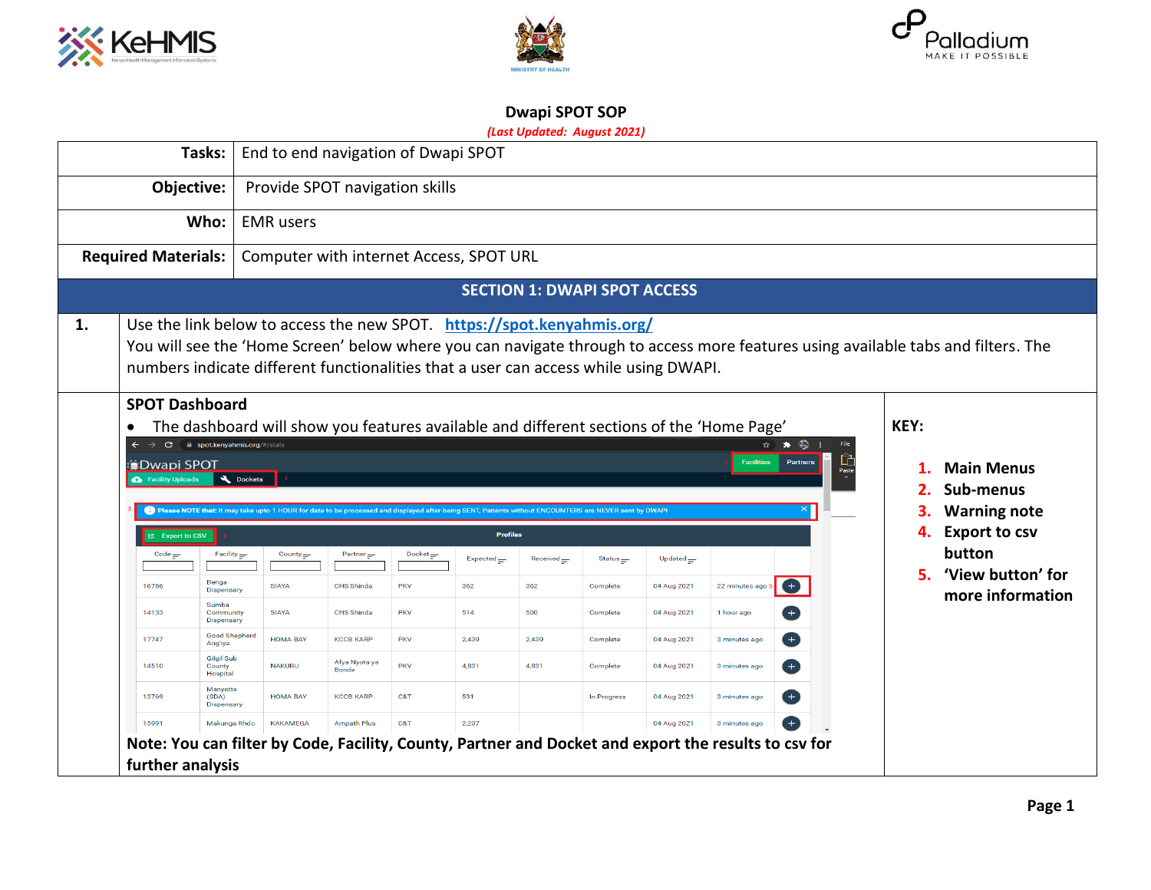





# **Dwapi SPOT SOP**

## *(Last Updated: August 2021)*

|    |                                                                                                                                                                                         | Tasks:                                    | End to end navigation of Dwapi SPOT                                                                                                                                 |                        |                                    |                                    |                                     |             |                  |                                                                                                                                                              |                                                                                                                                   |
|----|-----------------------------------------------------------------------------------------------------------------------------------------------------------------------------------------|-------------------------------------------|---------------------------------------------------------------------------------------------------------------------------------------------------------------------|------------------------|------------------------------------|------------------------------------|-------------------------------------|-------------|------------------|--------------------------------------------------------------------------------------------------------------------------------------------------------------|-----------------------------------------------------------------------------------------------------------------------------------|
|    | Objective:                                                                                                                                                                              |                                           | Provide SPOT navigation skills                                                                                                                                      |                        |                                    |                                    |                                     |             |                  |                                                                                                                                                              |                                                                                                                                   |
|    |                                                                                                                                                                                         | Who:                                      | <b>EMR</b> users                                                                                                                                                    |                        |                                    |                                    |                                     |             |                  |                                                                                                                                                              |                                                                                                                                   |
|    | <b>Required Materials:</b>                                                                                                                                                              |                                           | Computer with internet Access, SPOT URL                                                                                                                             |                        |                                    |                                    |                                     |             |                  |                                                                                                                                                              |                                                                                                                                   |
|    |                                                                                                                                                                                         |                                           |                                                                                                                                                                     |                        |                                    |                                    | <b>SECTION 1: DWAPI SPOT ACCESS</b> |             |                  |                                                                                                                                                              |                                                                                                                                   |
| 1. | Use the link below to access the new SPOT. https://spot.kenyahmis.org/<br>numbers indicate different functionalities that a user can access while using DWAPI.<br><b>SPOT Dashboard</b> |                                           |                                                                                                                                                                     |                        |                                    |                                    |                                     |             |                  |                                                                                                                                                              | You will see the 'Home Screen' below where you can navigate through to access more features using available tabs and filters. The |
|    | <b>COWAPI SPOT</b><br>Facility Uploads                                                                                                                                                  | C A spot.kenyahmis.org/#/stats<br>Dockets | <sup>1</sup> Please NOTE that: It may take upto 1 HOUR for data to be processed and displayed after being SENT, Patients without ENCOUNTERS are NEVER sent by DWAPI |                        |                                    |                                    |                                     |             |                  | The dashboard will show you features available and different sections of the 'Home Page'<br>$\star$ $\star$ $\cdot$ $\cdot$<br><b>Facilities</b><br>Partners | KEY:<br><b>Main Menus</b><br>Sub-menus<br><b>Warning note</b>                                                                     |
|    | Export to CSV                                                                                                                                                                           |                                           |                                                                                                                                                                     |                        |                                    | <b>Profiles</b>                    |                                     |             |                  |                                                                                                                                                              | <b>Export to csv</b><br>4.                                                                                                        |
|    | $Code \equiv$                                                                                                                                                                           | $Facility =$                              | County $=$                                                                                                                                                          | $Partner =$            | $\mathsf{Docket}_{\overline{z^*}}$ | $Expected \underline{\phantom{A}}$ | Received                            | Status $=$  | Updated $\equiv$ |                                                                                                                                                              | button<br>'View button' for<br>5.                                                                                                 |
|    | 16786                                                                                                                                                                                   | Benga<br><b>Dispensary</b>                | <b>SIAYA</b>                                                                                                                                                        | CHS Shinda             | <b>PKV</b>                         | 362                                | 362                                 | Complete    | 04 Aug 2021      | $\bigoplus$<br>22 minutes ago                                                                                                                                | more information                                                                                                                  |
|    | 14133                                                                                                                                                                                   | Sumba<br>Community<br>Dispensary          | <b>SIAYA</b>                                                                                                                                                        | CHS Shinda             | <b>PKV</b>                         | 514                                | 500                                 | Complete    | 04 Aug 2021      | $\left( +\right)$<br>1 hour ago                                                                                                                              |                                                                                                                                   |
|    | 17747                                                                                                                                                                                   | <b>Good Shepherd</b><br>Ang'iya           | <b>HOMA BAY</b>                                                                                                                                                     | <b>KCCB KARP</b>       | <b>PKV</b>                         | 2,439                              | 2,439                               | Complete    | 04 Aug 2021      | Ð<br>3 minutes ago                                                                                                                                           |                                                                                                                                   |
|    | 14510                                                                                                                                                                                   | <b>Gilgil Sub</b><br>County<br>Hospital   | <b>NAKURU</b>                                                                                                                                                       | Afya Nyota ya<br>Bonde | <b>PKV</b>                         | 4,831                              | 4,831                               | Complete    | 04 Aug 2021      | $\left( +\right)$<br>3 minutes ago                                                                                                                           |                                                                                                                                   |
|    | 13769                                                                                                                                                                                   | Manyatta<br>(SDA)<br><b>Dispensary</b>    | <b>HOMA BAY</b>                                                                                                                                                     | <b>KCCB KARP</b>       | C&T                                | 531                                |                                     | In Progress | 04 Aug 2021      | $+$<br>3 minutes ago                                                                                                                                         |                                                                                                                                   |
|    | 15991                                                                                                                                                                                   | Makunga Rhdc                              | <b>KAKAMEGA</b>                                                                                                                                                     | <b>Ampath Plus</b>     | C&T                                | 2.237                              |                                     |             | 04 Aug 2021      | 3 minutes ago                                                                                                                                                |                                                                                                                                   |
|    | further analysis                                                                                                                                                                        |                                           |                                                                                                                                                                     |                        |                                    |                                    |                                     |             |                  | Note: You can filter by Code, Facility, County, Partner and Docket and export the results to csv for                                                         |                                                                                                                                   |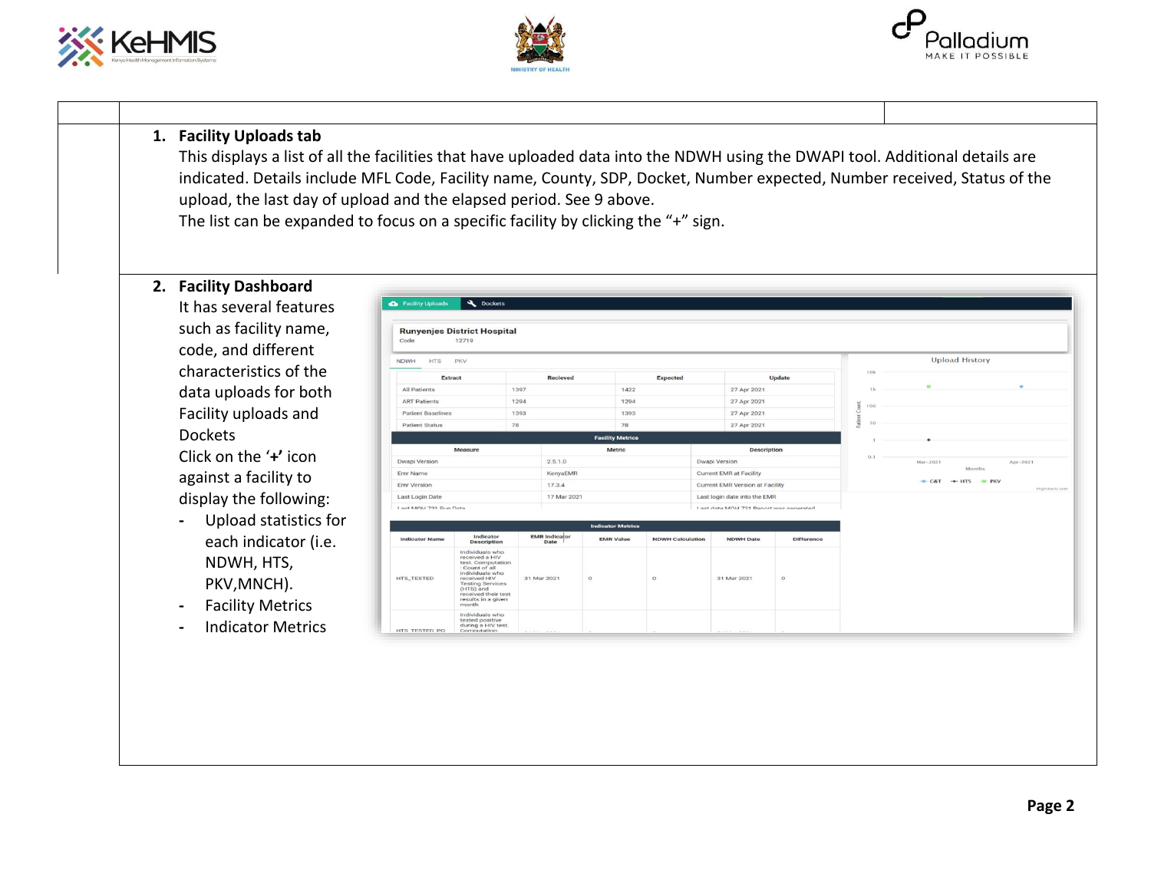





#### **1. Facility Uploads tab**

This displays a list of all the facilities that have uploaded data into the NDWH using the DWAPI tool. Additional details are indicated. Details include MFL Code, Facility name, County, SDP, Docket, Number expected, Number received, Status of the upload, the last day of upload and the elapsed period. See 9 above.

The list can be expanded to focus on a specific facility by clicking the "+" sign.

**2. Facility Dashboard**

It has several features such as facility name, code, and different characteristics of the data uploads for both Facility uploads and Dockets Click on the '**+'** icon against a facility to

display the following:

- **-** Upload statistics for each indicator (i.e. NDWH, HTS, PKV,MNCH).
- **-** Facility Metrics
- **-** Indicator Metrics

| Code                      | <b>Runyenjes District Hospital</b><br>12719                                                                                                                                                               |                              |                          |                         |                                        |                                          |         |     |                                            |                    |                |
|---------------------------|-----------------------------------------------------------------------------------------------------------------------------------------------------------------------------------------------------------|------------------------------|--------------------------|-------------------------|----------------------------------------|------------------------------------------|---------|-----|--------------------------------------------|--------------------|----------------|
| <b>HTS</b><br><b>NDWH</b> | PKV                                                                                                                                                                                                       |                              |                          |                         |                                        |                                          |         |     | <b>Upload History</b>                      |                    |                |
| Extract                   |                                                                                                                                                                                                           | Recieved                     |                          | Expected                |                                        | Update                                   |         | 10k |                                            |                    |                |
| All Patients              |                                                                                                                                                                                                           | 1397                         | 1422                     |                         | 27 Apr 2021                            |                                          |         | 1k  | ٠                                          | $\circ$            |                |
| <b>ART Patients</b>       |                                                                                                                                                                                                           | 1294                         | 1294                     |                         | 27 Apr 2021                            |                                          |         | 100 |                                            |                    |                |
| <b>Patient Baselines</b>  |                                                                                                                                                                                                           | 1393                         | 1393                     |                         | 27 Apr 2021                            |                                          | Count   |     |                                            |                    |                |
| <b>Patient Status</b>     | 78                                                                                                                                                                                                        |                              | 78                       |                         | 27 Apr 2021                            |                                          | Patient | 10  |                                            |                    |                |
|                           |                                                                                                                                                                                                           |                              | <b>Facility Metrics</b>  |                         |                                        |                                          |         |     |                                            |                    |                |
|                           | Measure                                                                                                                                                                                                   |                              | Metric                   |                         |                                        | <b>Description</b>                       |         | O.1 |                                            |                    |                |
| Dwapi Version             |                                                                                                                                                                                                           | 2.5.1.0                      |                          |                         | Dwapi Version                          |                                          |         |     | Mar-2021                                   | Apr-2021<br>Months |                |
| Emr Name                  |                                                                                                                                                                                                           | KenyaEMR                     |                          |                         | <b>Current EMR at Facility</b>         |                                          |         |     | $-C&T$ $\rightarrow$ HTS $\rightarrow$ PKV |                    |                |
| Emr Version               |                                                                                                                                                                                                           | 17.3.4                       |                          |                         | <b>Current EMR Version at Facility</b> |                                          |         |     |                                            |                    | Highcharts.com |
| Last Login Date           |                                                                                                                                                                                                           | 17 Mar 2021                  |                          |                         | Last login date into the EMR           |                                          |         |     |                                            |                    |                |
| Loet MOLL 721 Dun Date    |                                                                                                                                                                                                           |                              |                          |                         |                                        | I set data MOLI 721 Danort wae nanaratad |         |     |                                            |                    |                |
|                           |                                                                                                                                                                                                           |                              | <b>Indicator Metrics</b> |                         |                                        |                                          |         |     |                                            |                    |                |
| <b>Indicator Name</b>     | Indicator<br><b>Description</b>                                                                                                                                                                           | <b>EMR</b> Indicator<br>Date | <b>EMR Value</b>         | <b>NDWH Calculation</b> | <b>NDWH Date</b>                       | <b>Difference</b>                        |         |     |                                            |                    |                |
| <b>HTS_TESTED</b>         | Individuals who<br>received a HIV<br>test. Computation<br>: Count of all<br>individuals who<br>received HIV<br><b>Testing Services</b><br>(HTS) and<br>received their test<br>results in a given<br>month | 31 Mar 2021                  | $\circ$                  | $\circ$                 | 31 Mar 2021                            | $\circ$                                  |         |     |                                            |                    |                |
| HTS TESTED PO             | Individuals who<br>tested positive<br>during a HIV test.<br>Computation:                                                                                                                                  | $1.111$ $1.11$               |                          |                         | $-12.7$<br><b>COLLECTION</b>           |                                          |         |     |                                            |                    |                |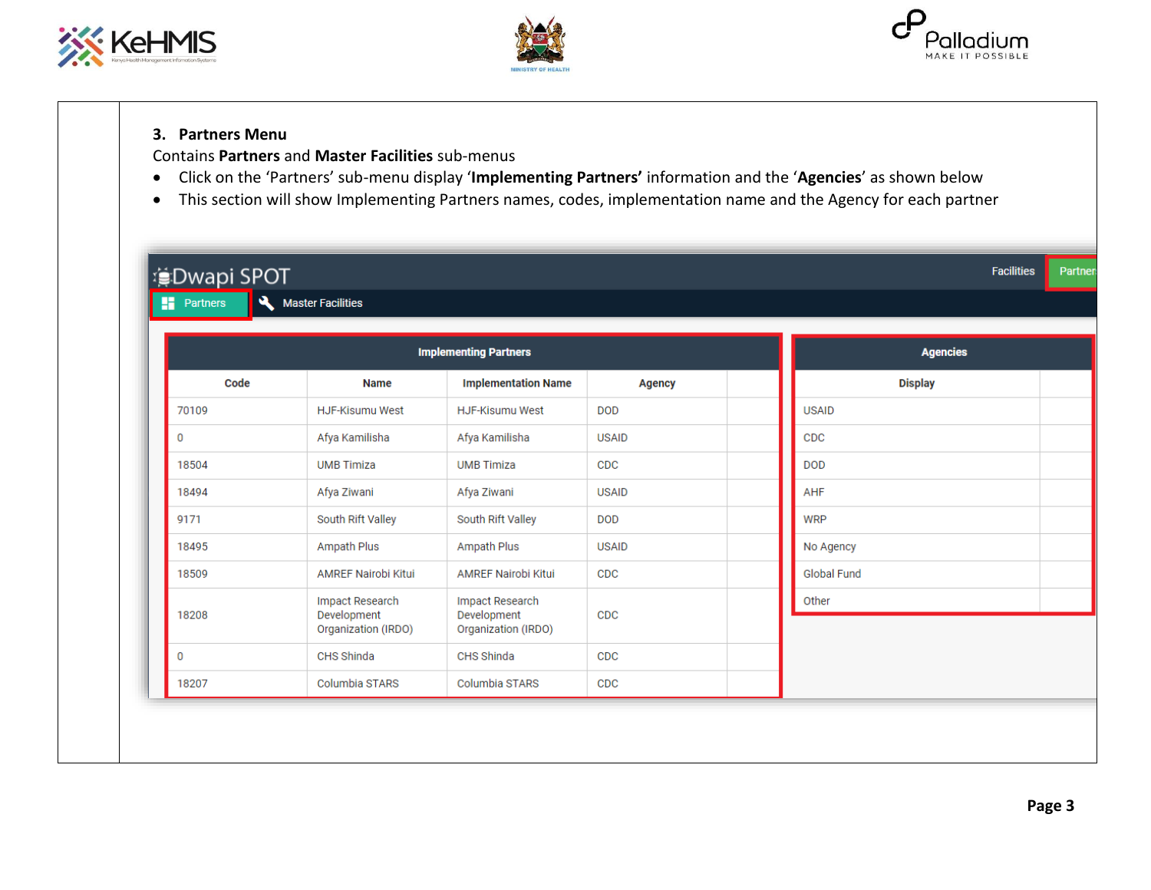





## **3. Partners Menu**

Contains **Partners** and **Master Facilities** sub-menus

- Click on the 'Partners' sub-menu display '**Implementing Partners'** information and the '**Agencies**' as shown below
- This section will show Implementing Partners names, codes, implementation name and the Agency for each partner

| <b>: Dwapi SPOT</b>                      |                                                              |                                                              |               |  |                    | <b>Facilities</b><br>Partner |
|------------------------------------------|--------------------------------------------------------------|--------------------------------------------------------------|---------------|--|--------------------|------------------------------|
| $\overline{\mathbf{A}}$<br>m<br>Partners | <b>Master Facilities</b>                                     |                                                              |               |  |                    |                              |
|                                          | <b>Implementing Partners</b>                                 | <b>Agencies</b>                                              |               |  |                    |                              |
| Code                                     | <b>Name</b>                                                  | <b>Implementation Name</b>                                   | <b>Agency</b> |  | <b>Display</b>     |                              |
| 70109                                    | <b>HJF-Kisumu West</b>                                       | <b>HJF-Kisumu West</b>                                       | <b>DOD</b>    |  | <b>USAID</b>       |                              |
| 0                                        | Afya Kamilisha                                               | Afya Kamilisha                                               | <b>USAID</b>  |  | CDC                |                              |
| 18504                                    | <b>UMB Timiza</b>                                            | <b>UMB Timiza</b>                                            | CDC           |  | <b>DOD</b>         |                              |
| 18494                                    | Afya Ziwani                                                  | Afya Ziwani                                                  | <b>USAID</b>  |  | AHF                |                              |
| 9171                                     | South Rift Valley                                            | South Rift Valley                                            | <b>DOD</b>    |  | <b>WRP</b>         |                              |
| 18495                                    | Ampath Plus                                                  | <b>Ampath Plus</b>                                           | <b>USAID</b>  |  | No Agency          |                              |
| 18509                                    | <b>AMREF Nairobi Kitui</b>                                   | <b>AMREF Nairobi Kitui</b>                                   | CDC           |  | <b>Global Fund</b> |                              |
| 18208                                    | <b>Impact Research</b><br>Development<br>Organization (IRDO) | <b>Impact Research</b><br>Development<br>Organization (IRDO) | <b>CDC</b>    |  | Other              |                              |
| 0                                        | CHS Shinda                                                   | CHS Shinda                                                   | CDC           |  |                    |                              |
| 18207                                    | Columbia STARS                                               | Columbia STARS                                               | CDC           |  |                    |                              |